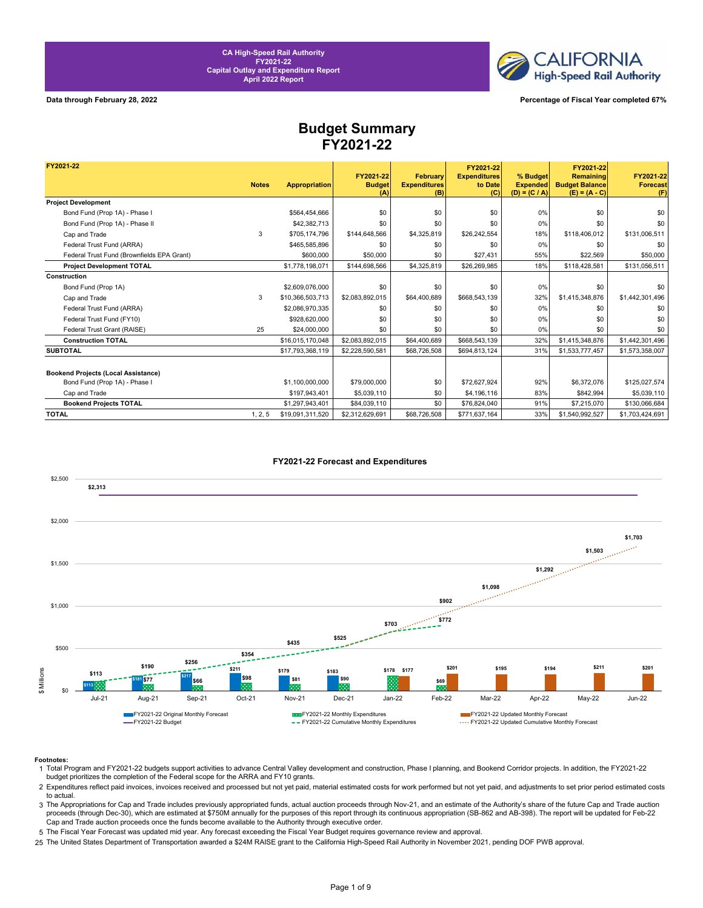

**Data through February 28, 2022 Percentage of Fiscal Year completed 67%**

## **Budget Summary FY2021-22**

| FY2021-22                                  |              |                      |                                   |                                        | FY2021-22                             |                                                | FY2021-22                                             |                                     |
|--------------------------------------------|--------------|----------------------|-----------------------------------|----------------------------------------|---------------------------------------|------------------------------------------------|-------------------------------------------------------|-------------------------------------|
|                                            | <b>Notes</b> | <b>Appropriation</b> | FY2021-22<br><b>Budget</b><br>(A) | February<br><b>Expenditures</b><br>(B) | <b>Expenditures</b><br>to Date<br>(C) | % Budget<br><b>Expended</b><br>$(D) = (C / A)$ | Remaining<br><b>Budget Balance</b><br>$(E) = (A - C)$ | FY2021-22<br><b>Forecast</b><br>(F) |
| <b>Project Development</b>                 |              |                      |                                   |                                        |                                       |                                                |                                                       |                                     |
| Bond Fund (Prop 1A) - Phase I              |              | \$564,454,666        | \$0                               | \$0                                    | \$0                                   | 0%                                             | \$0                                                   | \$0                                 |
| Bond Fund (Prop 1A) - Phase II             |              | \$42,382,713         | \$0                               | \$0                                    | \$0                                   | 0%                                             | \$0                                                   | \$0                                 |
| Cap and Trade                              | 3            | \$705.174.796        | \$144,648,566                     | \$4,325,819                            | \$26,242,554                          | 18%                                            | \$118,406,012                                         | \$131,006,511                       |
| Federal Trust Fund (ARRA)                  |              | \$465,585,896        | \$0                               | \$0                                    | \$0                                   | 0%                                             | \$0                                                   | \$0                                 |
| Federal Trust Fund (Brownfields EPA Grant) |              | \$600,000            | \$50,000                          | \$0                                    | \$27,431                              | 55%                                            | \$22,569                                              | \$50,000                            |
| <b>Project Development TOTAL</b>           |              | \$1,778,198,071      | \$144,698,566                     | \$4,325,819                            | \$26,269,985                          | 18%                                            | \$118,428,581                                         | \$131,056,511                       |
| Construction                               |              |                      |                                   |                                        |                                       |                                                |                                                       |                                     |
| Bond Fund (Prop 1A)                        |              | \$2,609,076,000      | \$0                               | \$0                                    | \$0                                   | 0%                                             | \$0                                                   | \$0                                 |
| Cap and Trade                              | 3            | \$10,366,503,713     | \$2,083,892,015                   | \$64,400,689                           | \$668,543,139                         | 32%                                            | \$1,415,348,876                                       | \$1,442,301,496                     |
| Federal Trust Fund (ARRA)                  |              | \$2,086,970,335      | \$0                               | \$0                                    | \$0                                   | 0%                                             | \$0                                                   | \$0                                 |
| Federal Trust Fund (FY10)                  |              | \$928,620,000        | \$0                               | \$0                                    | \$0                                   | 0%                                             | \$0                                                   | \$0                                 |
| Federal Trust Grant (RAISE)                | 25           | \$24,000,000         | \$0                               | \$0                                    | \$0                                   | 0%                                             | \$0                                                   | \$0                                 |
| <b>Construction TOTAL</b>                  |              | \$16.015.170.048     | \$2,083,892,015                   | \$64,400,689                           | \$668,543,139                         | 32%                                            | \$1,415,348,876                                       | \$1,442,301,496                     |
| <b>SUBTOTAL</b>                            |              | \$17.793.368.119     | \$2.228.590.581                   | \$68,726,508                           | \$694.813.124                         | 31%                                            | \$1,533,777,457                                       | \$1,573,358,007                     |
| <b>Bookend Projects (Local Assistance)</b> |              |                      |                                   |                                        |                                       |                                                |                                                       |                                     |
| Bond Fund (Prop 1A) - Phase I              |              | \$1,100,000,000      | \$79,000,000                      | \$0                                    | \$72,627,924                          | 92%                                            | \$6,372,076                                           | \$125,027,574                       |
| Cap and Trade                              |              | \$197.943.401        | \$5,039,110                       | \$0                                    | \$4,196,116                           | 83%                                            | \$842.994                                             | \$5,039,110                         |
| <b>Bookend Projects TOTAL</b>              |              | \$1,297,943,401      | \$84,039,110                      | \$0                                    | \$76,824,040                          | 91%                                            | \$7,215,070                                           | \$130,066,684                       |
| <b>TOTAL</b>                               | 1, 2, 5      | \$19,091,311,520     | \$2,312,629,691                   | \$68,726,508                           | \$771,637,164                         | 33%                                            | \$1,540,992,527                                       | \$1,703,424,691                     |



### FY2021-22 Forecast and Expenditures

### **Footnotes:**

- 1 Total Program and FY2021-22 budgets support activities to advance Central Valley development and construction, Phase I planning, and Bookend Corridor projects. In addition, the FY2021-22 budget prioritizes the completion of the Federal scope for the ARRA and FY10 grants.
- 2 Expenditures reflect paid invoices, invoices received and processed but not yet paid, material estimated costs for work performed but not yet paid, and adjustments to set prior period estimated costs to actual.
- 3 The Appropriations for Cap and Trade includes previously appropriated funds, actual auction proceeds through Nov-21, and an estimate of the Authority's share of the future Cap and Trade auction proceeds (through Dec-30), which are estimated at \$750M annually for the purposes of this report through its continuous appropriation (SB-862 and AB-398). The report will be updated for Feb-22 Cap and Trade auction proceeds once the funds become available to the Authority through executive order.
- 5 The Fiscal Year Forecast was updated mid year. Any forecast exceeding the Fiscal Year Budget requires governance review and approval.
- 25 The United States Department of Transportation awarded a \$24M RAISE grant to the California High-Speed Rail Authority in November 2021, pending DOF PWB approval.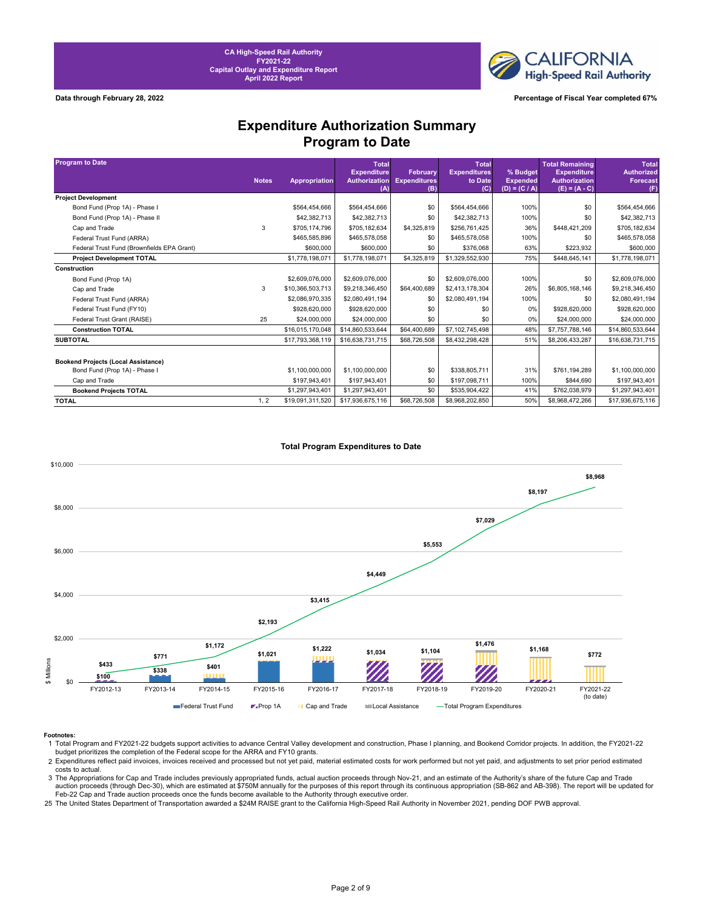**CALIFORNIA High-Speed Rail Authority** 

**Data through February 28, 2022 Percentage of Fiscal Year completed 67%**

## **Expenditure Authorization Summary Program to Date**

| <b>Program to Date</b>                     |              |                  | <b>Total</b>                               |                                 | <b>Total</b>                   |                             | <b>Total Remaining</b>                     | <b>Total</b>                         |
|--------------------------------------------|--------------|------------------|--------------------------------------------|---------------------------------|--------------------------------|-----------------------------|--------------------------------------------|--------------------------------------|
|                                            | <b>Notes</b> | Appropriation    | <b>Expenditure</b><br><b>Authorization</b> | February<br><b>Expenditures</b> | <b>Expenditures</b><br>to Date | % Budget<br><b>Expended</b> | <b>Expenditure</b><br><b>Authorization</b> | <b>Authorized</b><br><b>Forecast</b> |
|                                            |              |                  | (A)                                        | (B)                             | (C)                            | $(D) = (C / A)$             | $(E) = (A - C)$                            | (F)                                  |
| <b>Project Development</b>                 |              |                  |                                            |                                 |                                |                             |                                            |                                      |
| Bond Fund (Prop 1A) - Phase I              |              | \$564.454.666    | \$564,454,666                              | \$0                             | \$564.454.666                  | 100%                        | \$0                                        | \$564,454,666                        |
| Bond Fund (Prop 1A) - Phase II             |              | \$42,382,713     | \$42,382,713                               | \$0                             | \$42,382,713                   | 100%                        | \$0                                        | \$42,382,713                         |
| Cap and Trade                              | 3            | \$705.174.796    | \$705,182,634                              | \$4,325,819                     | \$256,761,425                  | 36%                         | \$448,421,209                              | \$705,182,634                        |
| Federal Trust Fund (ARRA)                  |              | \$465,585,896    | \$465,578,058                              | \$0                             | \$465,578,058                  | 100%                        | \$0                                        | \$465,578,058                        |
| Federal Trust Fund (Brownfields EPA Grant) |              | \$600,000        | \$600,000                                  | \$0                             | \$376,068                      | 63%                         | \$223,932                                  | \$600,000                            |
| <b>Project Development TOTAL</b>           |              | \$1,778,198,071  | \$1,778,198,071                            | \$4,325,819                     | \$1,329,552,930                | 75%                         | \$448,645,141                              | \$1,778,198,071                      |
| Construction                               |              |                  |                                            |                                 |                                |                             |                                            |                                      |
| Bond Fund (Prop 1A)                        |              | \$2,609,076,000  | \$2,609,076,000                            | \$0                             | \$2,609,076,000                | 100%                        | \$0                                        | \$2,609,076,000                      |
| Cap and Trade                              | 3            | \$10,366,503,713 | \$9,218,346,450                            | \$64,400,689                    | \$2,413,178,304                | 26%                         | \$6,805,168,146                            | \$9,218,346,450                      |
| Federal Trust Fund (ARRA)                  |              | \$2,086,970,335  | \$2,080,491,194                            | \$0                             | \$2,080,491,194                | 100%                        | \$0                                        | \$2,080,491,194                      |
| Federal Trust Fund (FY10)                  |              | \$928,620,000    | \$928,620,000                              | \$0                             | \$0                            | 0%                          | \$928,620,000                              | \$928,620,000                        |
| Federal Trust Grant (RAISE)                | 25           | \$24,000,000     | \$24,000,000                               | \$0                             | \$0                            | 0%                          | \$24,000,000                               | \$24,000,000                         |
| <b>Construction TOTAL</b>                  |              | \$16,015,170,048 | \$14,860,533,644                           | \$64,400,689                    | \$7,102,745,498                | 48%                         | \$7,757,788,146                            | \$14,860,533,644                     |
| <b>SUBTOTAL</b>                            |              | \$17,793,368,119 | \$16,638,731,715                           | \$68,726,508                    | \$8,432,298,428                | 51%                         | \$8,206,433,287                            | \$16,638,731,715                     |
|                                            |              |                  |                                            |                                 |                                |                             |                                            |                                      |
| <b>Bookend Projects (Local Assistance)</b> |              |                  |                                            |                                 |                                |                             |                                            |                                      |
| Bond Fund (Prop 1A) - Phase I              |              | \$1,100,000,000  | \$1,100,000,000                            | \$0                             | \$338,805,711                  | 31%                         | \$761,194,289                              | \$1,100,000,000                      |
| Cap and Trade                              |              | \$197,943,401    | \$197,943,401                              | \$0                             | \$197,098,711                  | 100%                        | \$844,690                                  | \$197,943,401                        |
| <b>Bookend Projects TOTAL</b>              |              | \$1,297,943,401  | \$1,297,943,401                            | \$0                             | \$535,904,422                  | 41%                         | \$762.038.979                              | \$1,297,943,401                      |
| <b>TOTAL</b>                               | 1, 2         | \$19,091,311,520 | \$17,936,675,116                           | \$68,726,508                    | \$8,968,202,850                | 50%                         | \$8,968,472,266                            | \$17,936,675,116                     |



## **Total Program Expenditures to Date**

3 The Appropriations for Cap and Trade includes previously appropriated funds, actual auction proceeds through Nov-21, and an estimate of the Authority's share of the future Cap and Trade auction proceeds (through Dec-30), which are estimated at \$750M annually for the purposes of this report through its continuous appropriation (SB-862 and AB-398). The report will be updated for

25 Feb-22 Cap and Trade auction proceeds once the funds become available to the Authority through executive order.<br>The United States Department of Transportation awarded a \$24M RAISE grant to the California High-Speed Rail Au

Footnotes:<br>1 Total Program and FY2021-22 budgets support activities to advance Central Valley development and construction, Phase I planning, and Bookend Corridor projects. In addition, the FY2021-22<br>budget prioritizes the

<sup>2</sup> Expenditures reflect paid invoices, invoices received and processed but not yet paid, material estimated costs for work performed but not yet paid, and adjustments to set prior period estimated costs to actual.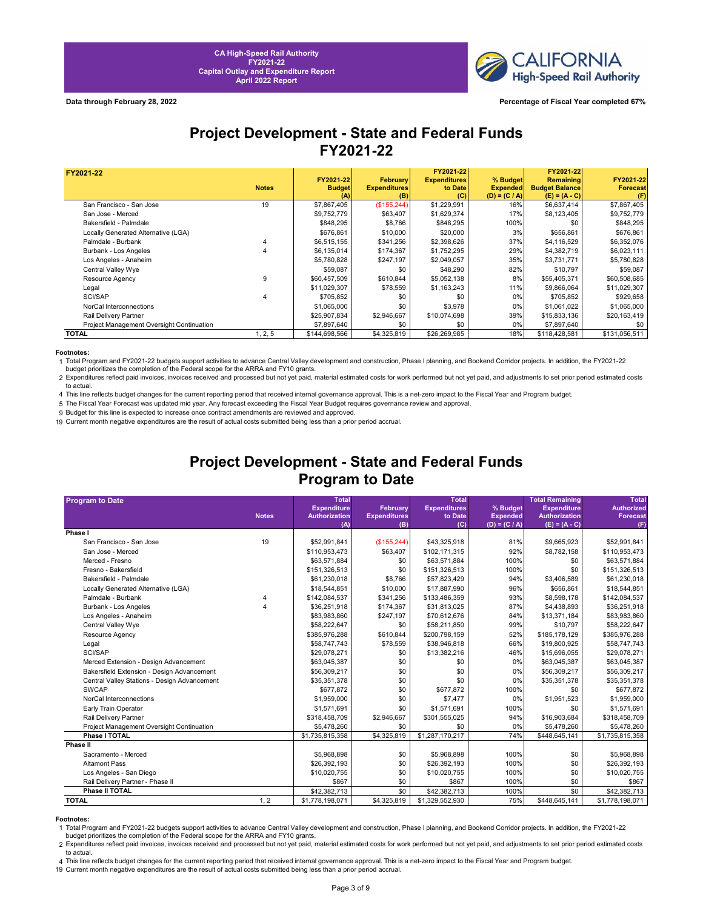

## **Project Development - State and Federal Funds FY2021-22**

| FY2021-22                                 |              |               |                     | FY2021-22           |                 | FY2021-22             |                 |
|-------------------------------------------|--------------|---------------|---------------------|---------------------|-----------------|-----------------------|-----------------|
|                                           |              | FY2021-22     | <b>February</b>     | <b>Expenditures</b> | % Budget        | <b>Remaining</b>      | FY2021-22       |
|                                           | <b>Notes</b> | <b>Budget</b> | <b>Expenditures</b> | to Date             | <b>Expended</b> | <b>Budget Balance</b> | <b>Forecast</b> |
|                                           |              |               | (B)                 |                     | $(D) = (C / A)$ | $(E) = (A - C)$       |                 |
| San Francisco - San Jose                  | 19           | \$7,867,405   | (\$155,244)         | \$1,229,991         | 16%             | \$6,637,414           | \$7,867,405     |
| San Jose - Merced                         |              | \$9,752,779   | \$63,407            | \$1,629,374         | 17%             | \$8,123,405           | \$9,752,779     |
| Bakersfield - Palmdale                    |              | \$848,295     | \$8,766             | \$848,295           | 100%            | \$0                   | \$848,295       |
| Locally Generated Alternative (LGA)       |              | \$676,861     | \$10,000            | \$20,000            | 3%              | \$656,861             | \$676,861       |
| Palmdale - Burbank                        |              | \$6,515,155   | \$341,256           | \$2,398,626         | 37%             | \$4,116,529           | \$6,352,076     |
| Burbank - Los Angeles                     |              | \$6,135,014   | \$174,367           | \$1,752,295         | 29%             | \$4,382,719           | \$6,023,111     |
| Los Angeles - Anaheim                     |              | \$5,780,828   | \$247,197           | \$2,049,057         | 35%             | \$3,731,771           | \$5,780,828     |
| Central Valley Wye                        |              | \$59,087      | \$0                 | \$48,290            | 82%             | \$10,797              | \$59,087        |
| <b>Resource Agency</b>                    | 9            | \$60,457,509  | \$610,844           | \$5,052,138         | 8%              | \$55,405,371          | \$60,508,685    |
| Legal                                     |              | \$11,029,307  | \$78,559            | \$1,163,243         | 11%             | \$9,866,064           | \$11,029,307    |
| SCI/SAP                                   |              | \$705,852     | \$0                 | \$0                 | $0\%$           | \$705,852             | \$929,658       |
| NorCal Interconnections                   |              | \$1,065,000   | \$0                 | \$3,978             | $0\%$           | \$1,061,022           | \$1,065,000     |
| Rail Delivery Partner                     |              | \$25,907,834  | \$2,946,667         | \$10,074,698        | 39%             | \$15,833,136          | \$20,163,419    |
| Project Management Oversight Continuation |              | \$7,897,640   | \$0                 | \$0                 | $0\%$           | \$7,897,640           | \$0             |
| <b>TOTAL</b>                              | 1, 2, 5      | \$144,698,566 | \$4,325,819         | \$26,269,985        | 18%             | \$118,428,581         | \$131,056,511   |

### **Footnotes:**

1 Total Program and FY2021-22 budgets support activities to advance Central Valley development and construction, Phase I planning, and Bookend Corridor projects. In addition, the FY2021-22 budget prioritizes the completion of the Federal scope for the ARRA and FY10 grants.

2 Expenditures reflect paid invoices, invoices received and processed but not yet paid, material estimated costs for work performed but not yet paid, and adjustments to set prior period estimated costs to actual.

4 This line reflects budget changes for the current reporting period that received internal governance approval. This is a net-zero impact to the Fiscal Year and Program budget.

5 The Fiscal Year Forecast was updated mid year. Any forecast exceeding the Fiscal Year Budget requires governance review and approval. 9 Budget for this line is expected to increase once contract amendments are reviewed and approved.

19 Current month negative expenditures are the result of actual costs submitted being less than a prior period accrual.

## **Project Development - State and Federal Funds Program to Date**

| <b>Program to Date</b>                       |              | <b>Total</b>                |                            | <b>Total</b>        |                                    | <b>Total Remaining</b>                  | <b>Total</b>           |
|----------------------------------------------|--------------|-----------------------------|----------------------------|---------------------|------------------------------------|-----------------------------------------|------------------------|
|                                              |              | <b>Expenditure</b>          | February                   | <b>Expenditures</b> | % Budget                           | Expenditure                             | <b>Authorized</b>      |
|                                              | <b>Notes</b> | <b>Authorization</b><br>(A) | <b>Expenditures</b><br>(B) | to Date<br>(C)      | <b>Expended</b><br>$(D) = (C / A)$ | <b>Authorization</b><br>$(E) = (A - C)$ | <b>Forecast</b><br>(F) |
| Phase I                                      |              |                             |                            |                     |                                    |                                         |                        |
| San Francisco - San Jose                     | 19           | \$52,991,841                | (\$155,244)                | \$43,325,918        | 81%                                | \$9,665,923                             | \$52,991,841           |
| San Jose - Merced                            |              | \$110,953,473               | \$63,407                   | \$102.171.315       | 92%                                | \$8,782,158                             | \$110,953,473          |
| Merced - Fresno                              |              | \$63,571,884                | \$0                        | \$63,571,884        | 100%                               | \$0                                     | \$63,571,884           |
| Fresno - Bakersfield                         |              | \$151,326,513               | \$0                        | \$151,326,513       | 100%                               | \$0                                     | \$151,326,513          |
| Bakersfield - Palmdale                       |              | \$61,230,018                | \$8,766                    | \$57,823,429        | 94%                                | \$3,406,589                             | \$61,230,018           |
| Locally Generated Alternative (LGA)          |              | \$18,544,851                | \$10,000                   | \$17,887,990        | 96%                                | \$656,861                               | \$18,544,851           |
| Palmdale - Burbank                           | 4            | \$142,084,537               | \$341,256                  | \$133,486,359       | 93%                                | \$8,598,178                             | \$142,084,537          |
| Burbank - Los Angeles                        | 4            | \$36,251,918                | \$174,367                  | \$31,813,025        | 87%                                | \$4,438,893                             | \$36,251,918           |
| Los Angeles - Anaheim                        |              | \$83,983,860                | \$247,197                  | \$70,612,676        | 84%                                | \$13,371,184                            | \$83,983,860           |
| Central Valley Wye                           |              | \$58,222,647                | \$0                        | \$58,211,850        | 99%                                | \$10,797                                | \$58,222,647           |
| Resource Agency                              |              | \$385,976,288               | \$610.844                  | \$200,798,159       | 52%                                | \$185.178.129                           | \$385,976,288          |
| Legal                                        |              | \$58,747,743                | \$78,559                   | \$38,946,818        | 66%                                | \$19,800,925                            | \$58,747,743           |
| <b>SCI/SAP</b>                               |              | \$29,078,271                | \$0                        | \$13,382,216        | 46%                                | \$15,696,055                            | \$29,078,271           |
| Merced Extension - Design Advancement        |              | \$63,045,387                | \$0                        | \$0                 | 0%                                 | \$63,045,387                            | \$63,045,387           |
| Bakersfield Extension - Design Advancement   |              | \$56,309,217                | \$0                        | \$0                 | 0%                                 | \$56,309,217                            | \$56,309,217           |
| Central Valley Stations - Design Advancement |              | \$35,351,378                | \$0                        | \$0                 | 0%                                 | \$35,351,378                            | \$35,351,378           |
| <b>SWCAP</b>                                 |              | \$677,872                   | \$0                        | \$677,872           | 100%                               | \$0                                     | \$677,872              |
| NorCal Interconnections                      |              | \$1,959,000                 | \$0                        | \$7,477             | 0%                                 | \$1,951,523                             | \$1,959,000            |
| Early Train Operator                         |              | \$1,571,691                 | \$0                        | \$1,571,691         | 100%                               | \$0                                     | \$1,571,691            |
| Rail Delivery Partner                        |              | \$318,458,709               | \$2,946,667                | \$301,555,025       | 94%                                | \$16,903,684                            | \$318,458,709          |
| Project Management Oversight Continuation    |              | \$5,478,260                 | \$0                        | \$0                 | 0%                                 | \$5,478,260                             | \$5,478,260            |
| Phase I TOTAL                                |              | \$1,735,815,358             | \$4,325,819                | \$1,287,170,217     | 74%                                | \$448,645,141                           | \$1,735,815,358        |
| Phase II                                     |              |                             |                            |                     |                                    |                                         |                        |
| Sacramento - Merced                          |              | \$5,968,898                 | \$0                        | \$5,968,898         | 100%                               | \$0                                     | \$5,968,898            |
| <b>Altamont Pass</b>                         |              | \$26,392,193                | \$0                        | \$26,392,193        | 100%                               | \$0                                     | \$26,392,193           |
| Los Angeles - San Diego                      |              | \$10,020,755                | \$0                        | \$10,020,755        | 100%                               | \$0                                     | \$10,020,755           |
| Rail Delivery Partner - Phase II             |              | \$867                       | \$0                        | \$867               | 100%                               | \$0                                     | \$867                  |
| Phase II TOTAL                               |              | \$42,382,713                | \$0                        | \$42,382,713        | 100%                               | \$0                                     | \$42,382,713           |
| <b>TOTAL</b>                                 | 1, 2         | \$1,778,198,071             | \$4,325,819                | \$1,329,552,930     | 75%                                | \$448,645,141                           | \$1,778,198,071        |

**Footnotes:**<br>1 Total Program and FY2021-22 budgets support activities to advance Central Valley development and construction, Phase I planning, and Bookend Corridor projects. In addition, the FY2021-22 budget prioritizes the completion of the Federal scope for the ARRA and FY10 grants.

2 Expenditures reflect paid invoices, invoices received and processed but not yet paid, material estimated costs for work performed but not yet paid, and adjustments to set prior period estimated costs to actual.

4 This line reflects budget changes for the current reporting period that received internal governance approval. This is a net-zero impact to the Fiscal Year and Program budget.

19 Current month negative expenditures are the result of actual costs submitted being less than a prior period accrual.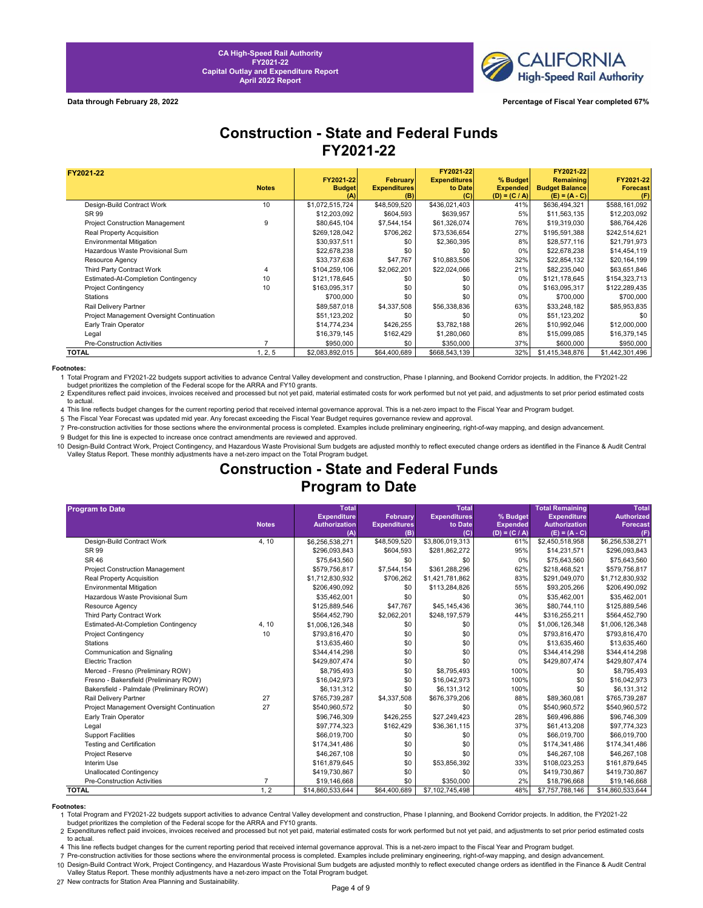

**Data through February 28, 2022 Percentage of Fiscal Year completed 67%**

## **Construction - State and Federal Funds FY2021-22**

| FY2021-22                                 |              |                                   |                                        | FY2021-22                             |                                                | FY2021-22                                                    |                                     |
|-------------------------------------------|--------------|-----------------------------------|----------------------------------------|---------------------------------------|------------------------------------------------|--------------------------------------------------------------|-------------------------------------|
|                                           | <b>Notes</b> | FY2021-22<br><b>Budget</b><br>(A) | February<br><b>Expenditures</b><br>(B) | <b>Expenditures</b><br>to Date<br>(C) | % Budget<br><b>Expended</b><br>$(D) = (C / A)$ | <b>Remaining</b><br><b>Budget Balance</b><br>$(E) = (A - C)$ | FY2021-22<br><b>Forecast</b><br>(F) |
| Design-Build Contract Work                | 10           | \$1,072,515,724                   | \$48,509,520                           | \$436,021,403                         | 41%                                            | \$636,494,321                                                | \$588,161,092                       |
| SR 99                                     |              | \$12,203,092                      | \$604,593                              | \$639,957                             | 5%                                             | \$11,563,135                                                 | \$12,203,092                        |
| <b>Project Construction Management</b>    |              | \$80,645,104                      | \$7,544,154                            | \$61,326,074                          | 76%                                            | \$19,319,030                                                 | \$86,764,426                        |
| Real Property Acquisition                 |              | \$269,128,042                     | \$706,262                              | \$73,536,654                          | 27%                                            | \$195,591,388                                                | \$242,514,621                       |
| Environmental Mitigation                  |              | \$30,937,511                      | \$0                                    | \$2,360,395                           | 8%                                             | \$28,577,116                                                 | \$21,791,973                        |
| Hazardous Waste Provisional Sum           |              | \$22,678,238                      | \$0                                    | \$0                                   | 0%                                             | \$22,678,238                                                 | \$14,454,119                        |
| Resource Agency                           |              | \$33,737,638                      | \$47,767                               | \$10,883,506                          | 32%                                            | \$22,854,132                                                 | \$20,164,199                        |
| Third Party Contract Work                 |              | \$104,259,106                     | \$2,062,201                            | \$22,024,066                          | 21%                                            | \$82,235,040                                                 | \$63,651,846                        |
| Estimated-At-Completion Contingency       | 10           | \$121,178,645                     | \$0                                    | \$0                                   | 0%                                             | \$121,178,645                                                | \$154,323,713                       |
| <b>Project Contingency</b>                | 10           | \$163,095,317                     | \$0                                    | \$0                                   | 0%                                             | \$163,095,317                                                | \$122,289,435                       |
| <b>Stations</b>                           |              | \$700,000                         | \$0                                    | \$0                                   | 0%                                             | \$700,000                                                    | \$700,000                           |
| Rail Delivery Partner                     |              | \$89,587,018                      | \$4,337,508                            | \$56,338,836                          | 63%                                            | \$33,248,182                                                 | \$85,953,835                        |
| Project Management Oversight Continuation |              | \$51,123,202                      | \$0                                    | \$0                                   | 0%                                             | \$51,123,202                                                 | \$0                                 |
| Early Train Operator                      |              | \$14,774,234                      | \$426,255                              | \$3,782,188                           | 26%                                            | \$10,992,046                                                 | \$12,000,000                        |
| Legal                                     |              | \$16,379,145                      | \$162,429                              | \$1,280,060                           | 8%                                             | \$15,099,085                                                 | \$16,379,145                        |
| <b>Pre-Construction Activities</b>        |              | \$950,000                         | \$0                                    | \$350,000                             | 37%                                            | \$600,000                                                    | \$950,000                           |
| TOTAL                                     | 1, 2, 5      | \$2,083,892,015                   | \$64,400,689                           | \$668,543,139                         | 32%                                            | \$1,415,348,876                                              | \$1,442,301,496                     |

**Footnotes:**<br>1 Total Program and FY2021-22 budgets support activities to advance Central Valley development and construction, Phase I planning, and Bookend Corridor projects. In addition, the FY2021-22<br>budget prioritizes t

2 Expenditures reflect paid invoices, invoices received and processed but not yet paid, material estimated costs for work performed but not yet paid, and adjustments to set prior period estimated costs to actual.

4 This line reflects budget changes for the current reporting period that received internal governance approval. This is a net-zero impact to the Fiscal Year and Program budget.

5 The Fiscal Year Forecast was updated mid year. Any forecast exceeding the Fiscal Year Budget requires governance review and approval.

7 Pre-construction activities for those sections where the environmental process is completed. Examples include preliminary engineering, right-of-way mapping, and design advancement.

9 Budget for this line is expected to increase once contract amendments are reviewed and approved.

10 Design-Build Contract Work, Project Contingency, and Hazardous Waste Provisional Sum budgets are adjusted monthly to reflect executed change orders as identified in the Finance & Audit Central<br>Valley Status Report. Thes

## **Construction - State and Federal Funds Program to Date**

| <b>Program to Date</b>                    |              | <b>Total</b>                               |                                        | <b>Total</b>                   |                             | <b>Total Remaining</b>                     | <b>Total</b>                         |
|-------------------------------------------|--------------|--------------------------------------------|----------------------------------------|--------------------------------|-----------------------------|--------------------------------------------|--------------------------------------|
|                                           | <b>Notes</b> | <b>Expenditure</b><br><b>Authorization</b> | <b>February</b><br><b>Expenditures</b> | <b>Expenditures</b><br>to Date | % Budget<br><b>Expended</b> | <b>Expenditure</b><br><b>Authorization</b> | <b>Authorized</b><br><b>Forecast</b> |
|                                           |              | (A)                                        | (B)                                    | (C)                            | $(D) = (C / A)$             | $(E) = (A - C)$                            | (F)                                  |
| Design-Build Contract Work                | 4, 10        | \$6,256,538,271                            | \$48,509,520                           | \$3,806,019,313                | 61%                         | \$2,450,518,958                            | \$6,256,538,271                      |
| SR 99                                     |              | \$296,093,843                              | \$604,593                              | \$281,862,272                  | 95%                         | \$14,231,571                               | \$296,093,843                        |
| <b>SR 46</b>                              |              | \$75,643,560                               | \$0                                    | \$0                            | 0%                          | \$75,643,560                               | \$75,643,560                         |
| <b>Project Construction Management</b>    |              | \$579,756,817                              | \$7,544,154                            | \$361,288,296                  | 62%                         | \$218,468,521                              | \$579,756,817                        |
| Real Property Acquisition                 |              | \$1,712,830,932                            | \$706,262                              | \$1,421,781,862                | 83%                         | \$291,049,070                              | \$1,712,830,932                      |
| <b>Environmental Mitigation</b>           |              | \$206,490,092                              | \$0                                    | \$113,284,826                  | 55%                         | \$93,205,266                               | \$206,490,092                        |
| Hazardous Waste Provisional Sum           |              | \$35,462,001                               | \$0                                    | \$0                            | 0%                          | \$35,462,001                               | \$35,462,001                         |
| Resource Agency                           |              | \$125,889,546                              | \$47,767                               | \$45,145,436                   | 36%                         | \$80,744,110                               | \$125,889,546                        |
| Third Party Contract Work                 |              | \$564,452,790                              | \$2,062,201                            | \$248,197,579                  | 44%                         | \$316,255,211                              | \$564,452,790                        |
| Estimated-At-Completion Contingency       | 4, 10        | \$1,006,126,348                            | \$0                                    | \$0                            | 0%                          | \$1,006,126,348                            | \$1,006,126,348                      |
| <b>Project Contingency</b>                | 10           | \$793.816.470                              | \$0                                    | \$0                            | 0%                          | \$793,816,470                              | \$793,816,470                        |
| <b>Stations</b>                           |              | \$13,635,460                               | \$0                                    | \$0                            | 0%                          | \$13,635,460                               | \$13,635,460                         |
| Communication and Signaling               |              | \$344,414,298                              | \$0                                    | \$0                            | 0%                          | \$344,414,298                              | \$344,414,298                        |
| <b>Electric Traction</b>                  |              | \$429,807,474                              | \$0                                    | \$0                            | 0%                          | \$429,807,474                              | \$429,807,474                        |
| Merced - Fresno (Preliminary ROW)         |              | \$8,795,493                                | \$0                                    | \$8,795,493                    | 100%                        | \$0                                        | \$8,795,493                          |
| Fresno - Bakersfield (Preliminary ROW)    |              | \$16,042,973                               | \$0                                    | \$16,042,973                   | 100%                        | \$0                                        | \$16,042,973                         |
| Bakersfield - Palmdale (Preliminary ROW)  |              | \$6,131,312                                | \$0                                    | \$6,131,312                    | 100%                        | \$0                                        | \$6,131,312                          |
| Rail Delivery Partner                     | 27           | \$765,739,287                              | \$4,337,508                            | \$676,379,206                  | 88%                         | \$89,360,081                               | \$765,739,287                        |
| Project Management Oversight Continuation | 27           | \$540,960,572                              | \$0                                    | \$0                            | 0%                          | \$540,960,572                              | \$540,960,572                        |
| Early Train Operator                      |              | \$96,746,309                               | \$426,255                              | \$27,249,423                   | 28%                         | \$69,496,886                               | \$96,746,309                         |
| Legal                                     |              | \$97,774,323                               | \$162,429                              | \$36,361,115                   | 37%                         | \$61,413,208                               | \$97,774,323                         |
| <b>Support Facilities</b>                 |              | \$66,019,700                               | \$0                                    | \$0                            | 0%                          | \$66,019,700                               | \$66,019,700                         |
| Testing and Certification                 |              | \$174,341,486                              | \$0                                    | \$0                            | 0%                          | \$174,341,486                              | \$174,341,486                        |
| Project Reserve                           |              | \$46,267,108                               | \$0                                    | \$0                            | 0%                          | \$46,267,108                               | \$46,267,108                         |
| Interim Use                               |              | \$161,879,645                              | \$0                                    | \$53,856,392                   | 33%                         | \$108,023,253                              | \$161,879,645                        |
| <b>Unallocated Contingency</b>            |              | \$419,730,867                              | \$0                                    | \$0                            | 0%                          | \$419,730,867                              | \$419,730,867                        |
| <b>Pre-Construction Activities</b>        |              | \$19,146,668                               | \$0                                    | \$350,000                      | 2%                          | \$18,796,668                               | \$19,146,668                         |
| <b>TOTAL</b>                              | 1, 2         | \$14,860,533,644                           | \$64,400,689                           | \$7,102,745,498                | 48%                         | \$7,757,788,146                            | \$14,860,533,644                     |

**Footnotes:**<br>19 Total Program and FY2021-22 budgets support activities to advance Central Valley development and construction, Phase I planning, and Bookend Corridor projects. In addition, the FY2021-22 budget prioritizes the completion of the Federal scope for the ARRA and FY10 grants.

2 Expenditures reflect paid invoices, invoices received and processed but not yet paid, material estimated costs for work performed but not yet paid, and adjustments to set prior period estimated costs to actual.

4 This line reflects budget changes for the current reporting period that received internal governance approval. This is a net-zero impact to the Fiscal Year and Program budget.

7 Pre-construction activities for those sections where the environmental process is completed. Examples include preliminary engineering, right-of-way mapping, and design advancement.

10 Design-Build Contract Work, Project Contingency, and Hazardous Waste Provisional Sum budgets are adjusted monthly to reflect executed change orders as identified in the Finance & Audit Central Valley Status Report. These monthly adjustments have a net-zero impact on the Total Program budget.

27 New contracts for Station Area Planning and Sustainability.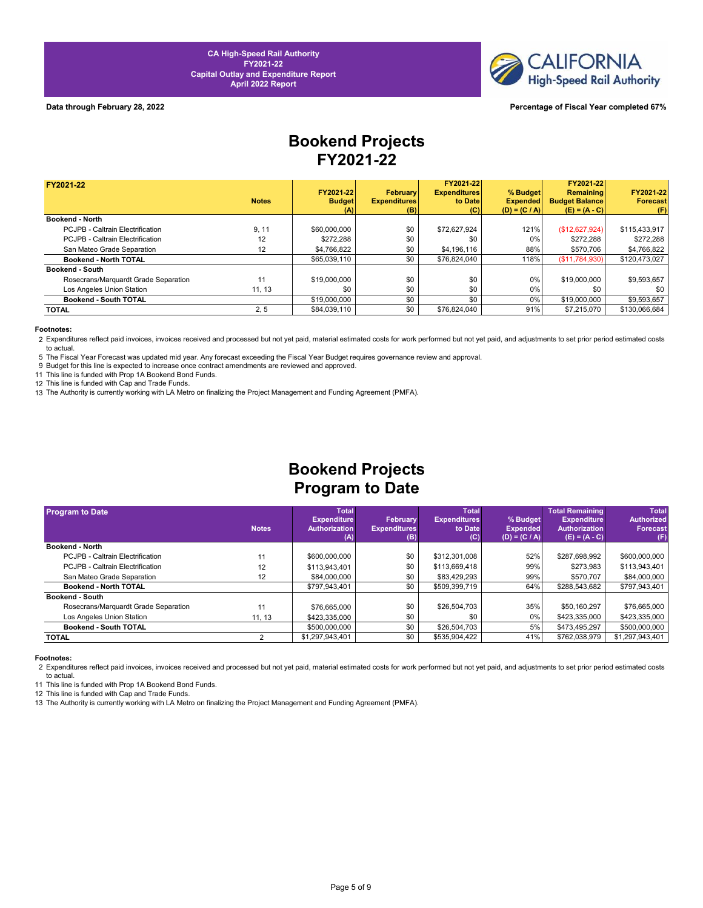

### **Data through February 28, 2022 Percentage of Fiscal Year completed 67%**

# **Bookend Projects FY2021-22**

| FY2021-22                            |              |               |                     | FY2021-22           |                 | FY2021-22             |                 |
|--------------------------------------|--------------|---------------|---------------------|---------------------|-----------------|-----------------------|-----------------|
|                                      |              | FY2021-22     | February            | <b>Expenditures</b> | % Budget        | <b>Remaining</b>      | FY2021-22       |
|                                      | <b>Notes</b> | <b>Budget</b> | <b>Expenditures</b> | to Date             | <b>Expended</b> | <b>Budget Balance</b> | <b>Forecast</b> |
|                                      |              | (A)           | (B)                 | (C)                 | $(D) = (C / A)$ | $(E) = (A - C)$       | (F)             |
| <b>Bookend - North</b>               |              |               |                     |                     |                 |                       |                 |
| PCJPB - Caltrain Electrification     | 9, 11        | \$60,000,000  | \$0                 | \$72,627,924        | 121%            | (\$12,627,924)        | \$115,433,917   |
| PCJPB - Caltrain Electrification     | 12           | \$272.288     | \$0                 | \$0                 | 0%              | \$272,288             | \$272.288       |
| San Mateo Grade Separation           | 12           | \$4,766,822   | \$0                 | \$4,196,116         | 88%             | \$570.706             | \$4,766,822     |
| Bookend - North TOTAL                |              | \$65,039,110  | \$0                 | \$76,824,040        | 118%            | (S11,784,930)         | \$120,473,027   |
| <b>Bookend - South</b>               |              |               |                     |                     |                 |                       |                 |
| Rosecrans/Marquardt Grade Separation | 11           | \$19,000,000  | \$0                 | \$0                 | 0%              | \$19,000,000          | \$9.593.657     |
| Los Angeles Union Station            | 11, 13       | \$0           | \$0                 | \$0                 | $0\%$           | \$0                   | \$0             |
| Bookend - South TOTAL                |              | \$19,000,000  | \$0                 | \$0                 | 0%              | \$19,000,000          | \$9,593,657     |
| <b>TOTAL</b>                         | 2, 5         | \$84,039,110  | \$0                 | \$76,824,040        | 91%             | \$7,215,070           | \$130,066,684   |

### **Footnotes:**

2 Expenditures reflect paid invoices, invoices received and processed but not yet paid, material estimated costs for work performed but not yet paid, and adjustments to set prior period estimated costs to actual.

5 The Fiscal Year Forecast was updated mid year. Any forecast exceeding the Fiscal Year Budget requires governance review and approval.

9 Budget for this line is expected to increase once contract amendments are reviewed and approved.

11 This line is funded with Prop 1A Bookend Bond Funds.

12 This line is funded with Cap and Trade Funds.

13 The Authority is currently working with LA Metro on finalizing the Project Management and Funding Agreement (PMFA).

# **Bookend Projects Program to Date**

| <b>Program to Date</b>               |              | <b>Total</b>         |                     | <b>Total</b>        |                 | Total Remaining      | <b>Total</b>      |
|--------------------------------------|--------------|----------------------|---------------------|---------------------|-----------------|----------------------|-------------------|
|                                      |              | <b>Expenditure</b>   | <b>February</b>     | <b>Expenditures</b> | % Budget        | <b>Expenditure</b>   | <b>Authorized</b> |
|                                      | <b>Notes</b> | <b>Authorization</b> | <b>Expenditures</b> | to Date             | <b>Expended</b> | <b>Authorization</b> | <b>Forecast</b>   |
|                                      |              | (A)                  | (B)                 | (C)                 | $(D) = (C / A)$ | $(E) = (A - C)$      | (F)               |
| Bookend - North                      |              |                      |                     |                     |                 |                      |                   |
| PCJPB - Caltrain Electrification     | 11           | \$600,000,000        | \$0                 | \$312,301,008       | 52%             | \$287,698,992        | \$600,000,000     |
| PCJPB - Caltrain Electrification     | 12           | \$113,943,401        | \$0                 | \$113,669,418       | 99%             | \$273,983            | \$113,943,401     |
| San Mateo Grade Separation           | 12           | \$84,000,000         | \$0                 | \$83.429.293        | 99%             | \$570.707            | \$84,000,000      |
| <b>Bookend - North TOTAL</b>         |              | \$797.943.401        | \$0                 | \$509,399,719       | 64%             | \$288,543,682        | \$797.943.401     |
| <b>Bookend - South</b>               |              |                      |                     |                     |                 |                      |                   |
| Rosecrans/Marquardt Grade Separation | 11           | \$76,665,000         | \$0                 | \$26,504,703        | 35%             | \$50.160.297         | \$76,665,000      |
| Los Angeles Union Station            | 11, 13       | \$423,335,000        | \$0                 | \$0                 | 0%              | \$423,335,000        | \$423,335,000     |
| Bookend - South TOTAL                |              | \$500,000,000        | \$0                 | \$26,504,703        | 5%              | \$473.495.297        | \$500,000,000     |
| <b>TOTAL</b>                         |              | \$1,297,943,401      | \$0                 | \$535.904.422       | 41%             | \$762.038.979        | \$1,297,943,401   |

**Footnotes:** 

2 Expenditures reflect paid invoices, invoices received and processed but not yet paid, material estimated costs for work performed but not yet paid, and adjustments to set prior period estimated costs to actual.

11 This line is funded with Prop 1A Bookend Bond Funds.

12 This line is funded with Cap and Trade Funds.

13 The Authority is currently working with LA Metro on finalizing the Project Management and Funding Agreement (PMFA).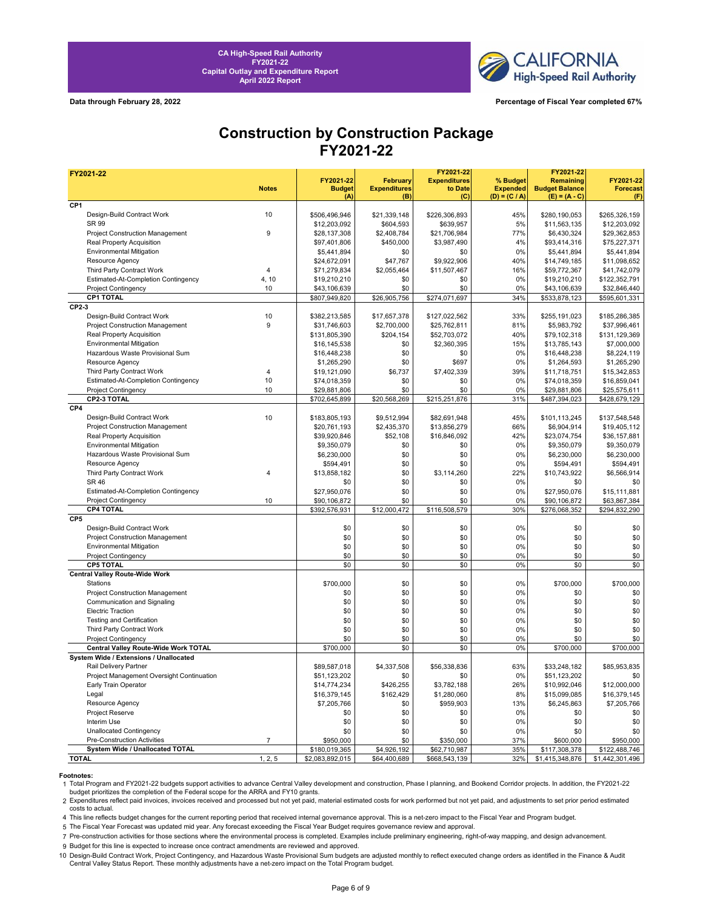

**Data through February 28, 2022 Percentage of Fiscal Year completed 67%**

# **Construction by Construction Package FY2021-22**

| FY2021-22                                   |                  |                  |                     | FY2021-22           |                 | FY2021-22             |                 |
|---------------------------------------------|------------------|------------------|---------------------|---------------------|-----------------|-----------------------|-----------------|
|                                             |                  | FY2021-22        | <b>February</b>     | <b>Expenditures</b> | % Budget        | <b>Remaining</b>      | FY2021-22       |
|                                             | <b>Notes</b>     | <b>Budget</b>    | <b>Expenditures</b> | to Date             | <b>Expended</b> | <b>Budget Balance</b> | <b>Forecast</b> |
|                                             |                  | (A)              | (B)                 | (C)                 | $(D) = (C / A)$ | $(E) = (A - C)$       | (F)             |
| CP <sub>1</sub>                             |                  |                  |                     |                     |                 |                       |                 |
| Design-Build Contract Work                  | 10               | \$506,496,946    | \$21,339,148        | \$226,306,893       | 45%             | \$280,190,053         | \$265,326,159   |
| SR 99                                       |                  | \$12,203,092     | \$604,593           | \$639,957           | 5%              | \$11,563,135          | \$12,203,092    |
| <b>Project Construction Management</b>      | $\boldsymbol{9}$ | \$28,137,308     | \$2,408,784         | \$21,706,984        | 77%             | \$6,430,324           | \$29,362,853    |
| Real Property Acquisition                   |                  | \$97,401,806     | \$450,000           | \$3,987,490         | 4%              | \$93,414,316          | \$75,227,371    |
| <b>Environmental Mitigation</b>             |                  | \$5,441,894      | \$0                 | \$0                 | 0%              | \$5,441,894           | \$5,441,894     |
| Resource Agency                             |                  | \$24,672,091     | \$47,767            | \$9,922,906         | 40%             | \$14,749,185          | \$11,098,652    |
| Third Party Contract Work                   | $\overline{4}$   | \$71,279,834     | \$2,055,464         | \$11,507,467        | 16%             | \$59,772,367          | \$41,742,079    |
| Estimated-At-Completion Contingency         | 4, 10            | \$19,210,210     | \$0                 | \$0                 | 0%              | \$19,210,210          | \$122,352,791   |
| <b>Project Contingency</b>                  | 10               | \$43,106,639     | \$0                 | \$0                 | 0%              | \$43,106,639          | \$32,846,440    |
| CP1 TOTAL                                   |                  | \$807,949,820    | \$26,905,756        | \$274,071,697       | 34%             | \$533,878,123         | \$595,601,331   |
| CP2-3                                       |                  |                  |                     |                     |                 |                       |                 |
| Design-Build Contract Work                  | 10               | \$382,213,585    | \$17,657,378        | \$127,022,562       | 33%             | \$255,191,023         | \$185,286,385   |
| Project Construction Management             | $\boldsymbol{9}$ | \$31,746,603     | \$2,700,000         | \$25,762,811        | 81%             | \$5,983,792           | \$37,996,461    |
| Real Property Acquisition                   |                  | \$131,805,390    | \$204,154           | \$52,703,072        | 40%             | \$79,102,318          | \$131,129,369   |
| <b>Environmental Mitigation</b>             |                  |                  |                     |                     | 15%             |                       |                 |
|                                             |                  | \$16,145,538     | \$0                 | \$2,360,395         |                 | \$13,785,143          | \$7,000,000     |
| Hazardous Waste Provisional Sum             |                  | \$16,448,238     | \$0                 | \$0                 | 0%              | \$16,448,238          | \$8,224,119     |
| Resource Agency                             |                  | \$1,265,290      | \$0                 | \$697               | 0%              | \$1,264,593           | \$1,265,290     |
| Third Party Contract Work                   | $\overline{4}$   | \$19,121,090     | \$6,737             | \$7,402,339         | 39%             | \$11,718,751          | \$15,342,853    |
| Estimated-At-Completion Contingency         | 10               | \$74,018,359     | \$0                 | \$0                 | 0%              | \$74,018,359          | \$16,859,041    |
| Project Contingency                         | 10               | \$29,881,806     | \$0                 | \$0                 | 0%              | \$29,881,806          | \$25,575,611    |
| CP2-3 TOTAL                                 |                  | \$702,645,899    | \$20,568,269        | \$215,251,876       | 31%             | \$487,394,023         | \$428,679,129   |
| CP4                                         |                  |                  |                     |                     |                 |                       |                 |
| Design-Build Contract Work                  | 10               | \$183,805,193    | \$9,512,994         | \$82,691,948        | 45%             | \$101,113,245         | \$137,548,548   |
| Project Construction Management             |                  | \$20,761,193     | \$2,435,370         | \$13,856,279        | 66%             | \$6,904,914           | \$19,405,112    |
| Real Property Acquisition                   |                  | \$39,920,846     | \$52,108            | \$16,846,092        | 42%             | \$23,074,754          | \$36,157,881    |
| <b>Environmental Mitigation</b>             |                  | \$9,350,079      | \$0                 | \$0                 | 0%              | \$9,350,079           | \$9,350,079     |
| Hazardous Waste Provisional Sum             |                  | \$6,230,000      | \$0                 | \$0                 | 0%              | \$6,230,000           | \$6,230,000     |
|                                             |                  |                  |                     |                     |                 |                       |                 |
| Resource Agency                             |                  | \$594,491        | \$0                 | \$0                 | 0%              | \$594,491             | \$594,491       |
| Third Party Contract Work                   | $\overline{4}$   | \$13,858,182     | \$0                 | \$3,114,260         | 22%             | \$10,743,922          | \$6,566,914     |
| SR 46                                       |                  | \$0              | \$0                 | \$0                 | 0%              | \$0                   | \$0             |
| Estimated-At-Completion Contingency         |                  | \$27.950.076     | \$0                 | \$0                 | 0%              | \$27,950,076          | \$15.111.881    |
| Project Contingency                         | 10               | \$90,106,872     | \$0                 | \$0                 | 0%              | \$90,106,872          | \$63,867,384    |
| <b>CP4 TOTAL</b>                            |                  | \$392,576,931    | \$12,000,472        | \$116,508,579       | 30%             | \$276,068,352         | \$294,832,290   |
| CP <sub>5</sub>                             |                  |                  |                     |                     |                 |                       |                 |
| Design-Build Contract Work                  |                  | \$0              | \$0                 | \$0                 | 0%              | \$0                   | \$0             |
| Project Construction Management             |                  | \$0              | \$0                 | \$0                 | 0%              | \$0                   | \$0             |
| <b>Environmental Mitigation</b>             |                  | \$0              | \$0                 | \$0                 | 0%              | \$0                   | \$0             |
| Project Contingency                         |                  | \$0              | \$0                 | \$0                 | 0%              | \$0                   | \$0             |
| <b>CP5 TOTAL</b>                            |                  | \$0              | \$0                 | \$0                 | 0%              | \$0                   | \$0             |
| <b>Central Valley Route-Wide Work</b>       |                  |                  |                     |                     |                 |                       |                 |
| <b>Stations</b>                             |                  | \$700,000        | \$0                 | \$0                 | 0%              | \$700,000             | \$700,000       |
| Project Construction Management             |                  | \$0              | \$0                 | \$0                 | 0%              | \$0                   | \$0             |
| Communication and Signaling                 |                  | \$0              | \$0                 | \$0                 | 0%              | \$0                   | \$0             |
| <b>Electric Traction</b>                    |                  | \$0              | \$0                 | \$0                 | 0%              | \$0                   | \$0             |
|                                             |                  |                  |                     |                     |                 |                       |                 |
| <b>Testing and Certification</b>            |                  | \$0              | \$0                 | \$0                 | 0%              | \$0                   | \$0             |
| Third Party Contract Work                   |                  | \$0              | \$0                 | \$0                 | 0%              | \$0                   | \$0             |
| <b>Project Contingency</b>                  |                  | \$0              | \$0                 | \$0                 | 0%              | \$0                   | \$0             |
| <b>Central Valley Route-Wide Work TOTAL</b> |                  | \$700,000        | \$0                 | \$0                 | 0%              | \$700,000             | \$700,000       |
| System Wide / Extensions / Unallocated      |                  |                  |                     |                     |                 |                       |                 |
| Rail Delivery Partner                       |                  | \$89,587,018     | \$4,337,508         | \$56,338,836        | 63%             | \$33,248,182          | \$85,953,835    |
| Project Management Oversight Continuation   |                  | \$51,123,202     | \$0                 | \$0                 | 0%              | \$51,123,202          | \$0             |
| Early Train Operator                        |                  | \$14,774,234     | \$426,255           | \$3,782,188         | 26%             | \$10,992,046          | \$12,000,000    |
| Legal                                       |                  | \$16,379,145     | \$162,429           | \$1,280,060         | 8%              | \$15,099,085          | \$16,379,145    |
| Resource Agency                             |                  | \$7,205,766      | \$0                 | \$959,903           | 13%             | \$6,245,863           | \$7,205,766     |
| Project Reserve                             |                  | \$0              | \$0                 | \$0                 | 0%              | \$0                   | \$0             |
| Interim Use                                 |                  | \$0              | \$0                 | \$0                 | 0%              | \$0                   | \$0             |
| <b>Unallocated Contingency</b>              |                  |                  | \$0                 |                     | 0%              | \$0                   | \$0             |
| <b>Pre-Construction Activities</b>          | $\overline{7}$   | \$0<br>\$950,000 | \$0                 | \$0<br>\$350,000    | 37%             | \$600,000             | \$950,000       |
| System Wide / Unallocated TOTAL             |                  | \$180,019,365    | \$4,926,192         | \$62,710,987        | 35%             | \$117,308,378         | \$122,488,746   |
| <b>TOTAL</b>                                | 1, 2, 5          |                  |                     |                     | 32%             |                       |                 |
|                                             |                  | \$2,083,892,015  | \$64,400,689        | \$668,543,139       |                 | \$1,415,348,876       | \$1,442,301,496 |

**Footnotes:**<br>1 Total Program and FY2021-22 budgets support activities to advance Central Valley development and construction, Phase I planning, and Bookend Corridor projects. In addition, the FY2021-22 budget prioritizes the completion of the Federal scope for the ARRA and FY10 grants.

2 Expenditures reflect paid invoices, invoices received and processed but not yet paid, material estimated costs for work performed but not yet paid, and adjustments to set prior period estimated costs to actual.

4 This line reflects budget changes for the current reporting period that received internal governance approval. This is a net-zero impact to the Fiscal Year and Program budget.

5 The Fiscal Year Forecast was updated mid year. Any forecast exceeding the Fiscal Year Budget requires governance review and approval.

7 Pre-construction activities for those sections where the environmental process is completed. Examples include preliminary engineering, right-of-way mapping, and design advancement.

9 Budget for this line is expected to increase once contract amendments are reviewed and approved.

10 Design-Build Contract Work, Project Contingency, and Hazardous Waste Provisional Sum budgets are adjusted monthly to reflect executed change orders as identified in the Finance & Audit<br>Central Valley Status Report. Thes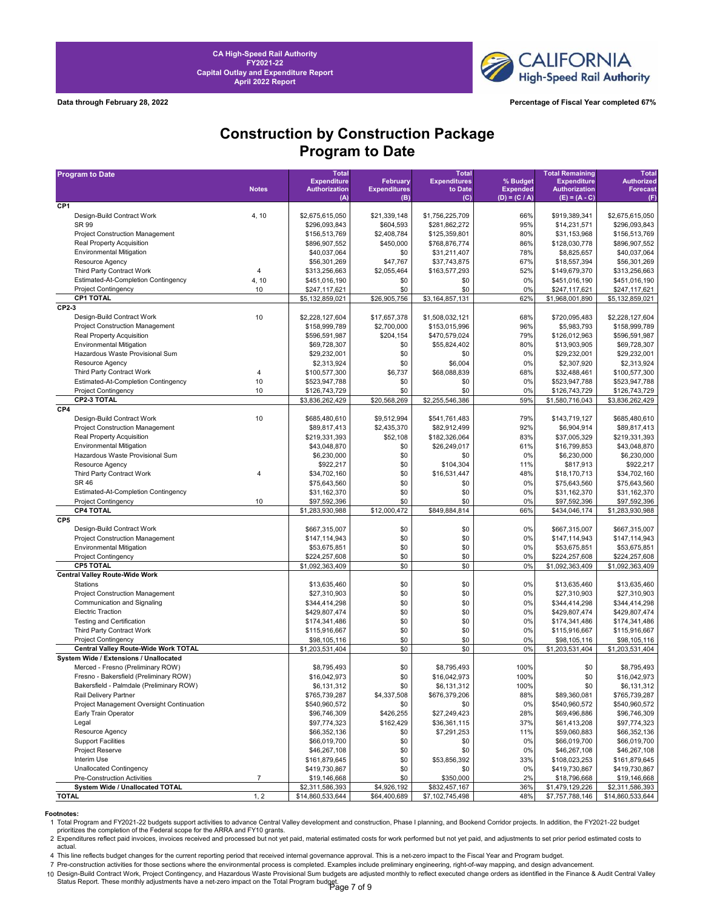

**Data through February 28, 2022 Percentage of Fiscal Year completed 67%**

# **Construction by Construction Package Program to Date**

|                 | <b>Program to Date</b>                                                      |                | <b>Total</b>                               |                                 | <b>Total</b>                   |                             | <b>Total Remaining</b>                     | <b>Total</b>                         |
|-----------------|-----------------------------------------------------------------------------|----------------|--------------------------------------------|---------------------------------|--------------------------------|-----------------------------|--------------------------------------------|--------------------------------------|
|                 |                                                                             | <b>Notes</b>   | <b>Expenditure</b><br><b>Authorization</b> | February<br><b>Expenditures</b> | <b>Expenditures</b><br>to Date | % Budget<br><b>Expended</b> | <b>Expenditure</b><br><b>Authorization</b> | <b>Authorized</b><br><b>Forecast</b> |
|                 |                                                                             |                | (A)                                        | (B)                             | (C)                            | $(D) = (C / A)$             | $(E) = (A - C)$                            | (F)                                  |
| CP1             |                                                                             |                |                                            |                                 |                                |                             |                                            |                                      |
|                 | Design-Build Contract Work                                                  | 4, 10          | \$2,675,615,050                            | \$21,339,148                    | \$1,756,225,709                | 66%                         | \$919,389,341                              | \$2,675,615,050                      |
| SR 99           |                                                                             |                | \$296,093,843                              | \$604,593                       | \$281,862,272                  | 95%                         | \$14,231,571                               | \$296,093,843                        |
|                 | <b>Project Construction Management</b>                                      |                | \$156,513,769                              | \$2,408,784                     | \$125,359,801                  | 80%                         | \$31,153,968                               | \$156,513,769                        |
|                 | Real Property Acquisition                                                   |                | \$896,907,552                              | \$450,000                       | \$768,876,774                  | 86%                         | \$128,030,778                              | \$896,907,552                        |
|                 | <b>Environmental Mitigation</b>                                             |                | \$40,037,064                               | \$0                             | \$31,211,407                   | 78%                         | \$8,825,657                                | \$40,037,064                         |
|                 | Resource Agency                                                             |                | \$56,301,269                               | \$47,767                        | \$37,743,875                   | 67%                         | \$18,557,394                               | \$56,301,269                         |
|                 | Third Party Contract Work                                                   | 4              | \$313,256,663                              | \$2,055,464                     | \$163,577,293                  | 52%                         | \$149,679,370                              | \$313,256,663                        |
|                 | Estimated-At-Completion Contingency                                         | 4, 10          | \$451,016,190                              | \$0                             | \$0                            | 0%                          | \$451,016,190                              | \$451,016,190                        |
|                 | <b>Project Contingency</b>                                                  | 10             | \$247,117,621                              | \$0                             | \$0                            | 0%                          | \$247,117,621                              | \$247,117,621                        |
|                 | CP1 TOTAL                                                                   |                | \$5,132,859,021                            | \$26,905,756                    | \$3,164,857,131                | 62%                         | \$1,968,001,890                            | \$5,132,859,021                      |
| CP2-3           |                                                                             |                |                                            |                                 |                                |                             |                                            |                                      |
|                 | Design-Build Contract Work                                                  | 10             | \$2,228,127,604                            | \$17,657,378                    | \$1,508,032,121                | 68%                         | \$720,095,483                              | \$2,228,127,604                      |
|                 | Project Construction Management                                             |                | \$158,999,789                              | \$2,700,000                     | \$153,015,996                  | 96%                         | \$5,983,793                                | \$158,999,789                        |
|                 | <b>Real Property Acquisition</b>                                            |                | \$596,591,987                              | \$204,154                       | \$470,579,024                  | 79%                         | \$126,012,963                              | \$596,591,987                        |
|                 | <b>Environmental Mitigation</b>                                             |                | \$69,728,307                               | \$0                             | \$55,824,402                   | 80%                         | \$13,903,905                               | \$69,728,307                         |
|                 | Hazardous Waste Provisional Sum                                             |                | \$29,232,001                               | \$0                             | \$0                            | 0%                          | \$29,232,001                               | \$29,232,001                         |
|                 | Resource Agency                                                             |                | \$2,313,924                                | \$0                             | \$6,004                        | 0%                          | \$2,307,920                                | \$2,313,924                          |
|                 | Third Party Contract Work                                                   | 4              | \$100,577,300                              | \$6,737                         | \$68,088,839                   | 68%                         | \$32,488,461                               | \$100,577,300                        |
|                 | Estimated-At-Completion Contingency                                         | 10             | \$523,947,788                              | \$0                             | \$0                            | 0%                          | \$523,947,788                              | \$523,947,788                        |
|                 | <b>Project Contingency</b>                                                  | 10             | \$126,743,729                              | \$0                             | \$0                            | 0%                          | \$126,743,729                              | \$126,743,729                        |
|                 | CP2-3 TOTAL                                                                 |                | \$3,836,262,429                            | \$20,568,269                    | \$2,255,546,386                | 59%                         | \$1,580,716,043                            | \$3,836,262,429                      |
| CP4             |                                                                             |                |                                            |                                 |                                |                             |                                            |                                      |
|                 | Design-Build Contract Work                                                  | 10             | \$685,480,610                              | \$9,512,994                     | \$541,761,483                  | 79%                         | \$143,719,127                              | \$685,480,610                        |
|                 | <b>Project Construction Management</b>                                      |                | \$89,817,413                               | \$2,435,370                     | \$82,912,499                   | 92%                         | \$6,904,914                                | \$89,817,413                         |
|                 | Real Property Acquisition                                                   |                | \$219,331,393                              | \$52,108                        | \$182,326,064                  | 83%                         | \$37,005,329                               | \$219,331,393                        |
|                 | <b>Environmental Mitigation</b>                                             |                | \$43,048,870                               | \$0                             | \$26,249,017                   | 61%                         | \$16,799,853                               | \$43,048,870                         |
|                 | Hazardous Waste Provisional Sum                                             |                | \$6,230,000                                | \$0                             | \$0                            | 0%                          | \$6,230,000                                | \$6,230,000                          |
|                 | Resource Agency                                                             |                | \$922,217                                  | \$0                             | \$104,304                      | 11%                         | \$817,913                                  | \$922,217                            |
|                 | Third Party Contract Work                                                   | 4              | \$34,702,160                               | \$0                             | \$16,531,447                   | 48%                         | \$18,170,713                               | \$34,702,160                         |
| <b>SR 46</b>    |                                                                             |                | \$75,643,560                               | \$0                             | \$0                            | 0%                          | \$75,643,560                               | \$75,643,560                         |
|                 | Estimated-At-Completion Contingency                                         |                | \$31,162,370                               | \$0                             | \$0                            | 0%                          | \$31,162,370                               | \$31,162,370                         |
|                 | <b>Project Contingency</b>                                                  | 10             | \$97,592,396                               | \$0                             | \$0                            | 0%                          | \$97,592,396                               | \$97,592,396                         |
|                 | <b>CP4 TOTAL</b>                                                            |                | \$1,283,930,988                            | \$12,000,472                    | \$849,884,814                  | 66%                         | \$434,046,174                              | \$1,283,930,988                      |
| CP <sub>5</sub> |                                                                             |                |                                            |                                 |                                |                             |                                            |                                      |
|                 | Design-Build Contract Work                                                  |                | \$667,315,007                              | \$0                             | \$0                            | 0%                          | \$667,315,007                              | \$667,315,007                        |
|                 | <b>Project Construction Management</b>                                      |                | \$147,114,943                              | \$0                             | \$0                            | 0%                          | \$147,114,943                              | \$147,114,943                        |
|                 | Environmental Mitigation                                                    |                | \$53,675,851                               | \$0                             | \$0                            | 0%                          | \$53,675,851                               | \$53,675,851                         |
|                 | <b>Project Contingency</b>                                                  |                | \$224,257,608                              | \$0                             | \$0                            | 0%                          | \$224,257,608                              | \$224,257,608                        |
|                 | <b>CP5 TOTAL</b>                                                            |                | \$1,092,363,409                            | \$0                             | \$0                            | 0%                          | \$1,092,363,409                            | \$1,092,363,409                      |
|                 | <b>Central Valley Route-Wide Work</b>                                       |                |                                            |                                 |                                |                             |                                            |                                      |
|                 | Stations                                                                    |                | \$13,635,460                               | \$0                             | \$0                            | 0%                          | \$13,635,460                               | \$13,635,460                         |
|                 | Project Construction Management                                             |                | \$27,310,903                               | \$0                             | \$0                            | 0%                          | \$27,310,903                               | \$27,310,903                         |
|                 | Communication and Signaling                                                 |                | \$344,414,298                              | \$0                             | \$0                            | 0%                          | \$344,414,298                              | \$344,414,298                        |
|                 | <b>Electric Traction</b><br>Testing and Certification                       |                | \$429,807,474                              | \$0                             | \$0                            | 0%                          | \$429,807,474                              | \$429,807,474                        |
|                 |                                                                             |                | \$174,341,486                              | \$0                             | \$0                            | 0%                          | \$174,341,486                              | \$174,341,486                        |
|                 | Third Party Contract Work                                                   |                | \$115,916,667                              | \$0                             | \$0                            | 0%                          | \$115,916,667                              | \$115,916,667                        |
|                 | <b>Project Contingency</b>                                                  |                | \$98,105,116                               | \$0                             | \$0<br>\$0                     | 0%<br>0%                    | \$98,105,116                               | \$98,105,116                         |
|                 | Central Valley Route-Wide Work TOTAL                                        |                | \$1,203,531,404                            | \$0                             |                                |                             | \$1,203,531,404                            | \$1,203,531,404                      |
|                 | System Wide / Extensions / Unallocated<br>Merced - Fresno (Preliminary ROW) |                | \$8,795,493                                | \$0                             | \$8,795,493                    | 100%                        |                                            | \$8,795,493                          |
|                 | Fresno - Bakersfield (Preliminary ROW)                                      |                |                                            | \$0                             |                                | 100%                        | \$0<br>\$0                                 |                                      |
|                 |                                                                             |                | \$16,042,973                               |                                 | \$16,042,973                   |                             |                                            | \$16,042,973                         |
|                 | Bakersfield - Palmdale (Preliminary ROW)                                    |                | \$6,131,312                                | \$0                             | \$6,131,312                    | 100%                        | \$0                                        | \$6,131,312                          |
|                 | Rail Delivery Partner                                                       |                | \$765,739,287                              | \$4,337,508                     | \$676,379,206                  | 88%                         | \$89,360,081                               | \$765,739,287                        |
|                 | Project Management Oversight Continuation<br>Early Train Operator           |                | \$540,960,572                              | \$0                             | \$0                            | 0%                          | \$540,960,572                              | \$540,960,572<br>\$96,746,309        |
|                 |                                                                             |                | \$96,746,309                               | \$426,255                       | \$27,249,423                   | 28%                         | \$69,496,886                               |                                      |
| Legal           | Resource Agency                                                             |                | \$97,774,323                               | \$162,429                       | \$36,361,115                   | 37%                         | \$61,413,208                               | \$97,774,323<br>\$66,352,136         |
|                 | <b>Support Facilities</b>                                                   |                | \$66,352,136<br>\$66,019,700               | \$0                             | \$7,291,253                    | 11%                         | \$59,060,883                               |                                      |
|                 |                                                                             |                |                                            | \$0                             | \$0<br>\$0                     | 0%                          | \$66,019,700                               | \$66,019,700                         |
|                 | Project Reserve<br>Interim Use                                              |                | \$46,267,108                               | \$0                             |                                | 0%                          | \$46,267,108                               | \$46,267,108<br>\$161,879,645        |
|                 |                                                                             |                | \$161,879,645<br>\$419,730,867             | \$0<br>\$0                      | \$53,856,392<br>\$0            | 33%<br>0%                   | \$108,023,253                              | \$419,730,867                        |
|                 | <b>Unallocated Contingency</b><br>Pre-Construction Activities               | $\overline{7}$ | \$19,146,668                               | \$0                             | \$350,000                      | 2%                          | \$419,730,867<br>\$18,796,668              | \$19,146,668                         |
|                 | <b>System Wide / Unallocated TOTAL</b>                                      |                | \$2,311,586,393                            | \$4,926,192                     | \$832,457,167                  | 36%                         | \$1,479,129,226                            | \$2,311,586,393                      |
| <b>TOTAL</b>    |                                                                             | 1, 2           | \$14,860,533,644                           | \$64,400,689                    | \$7,102,745,498                | 48%                         | \$7,757,788,146                            | \$14,860,533,644                     |

**Footnotes:**<br>1 Total Program and FY2021-22 budgets support activities to advance Central Valley development and construction, Phase I planning, and Bookend Corridor projects. In addition, the FY2021-22 budget<br>prioritizes t

2 Expenditures reflect paid invoices, invoices received and processed but not yet paid, material estimated costs for work performed but not yet paid, and adjustments to set prior period estimated costs to actual.

4 This line reflects budget changes for the current reporting period that received internal governance approval. This is a net-zero impact to the Fiscal Year and Program budget.

7 Pre-construction activities for those sections where the environmental process is completed. Examples include preliminary engineering, right-of-way mapping, and design advancement.

10 Design-Build Contract Work, Project Contingency, and Hazardous Waste Provisional Sum budgets are adjusted monthly to reflect executed change orders as identified in the Finance & Audit Central Valley Status Report. Thes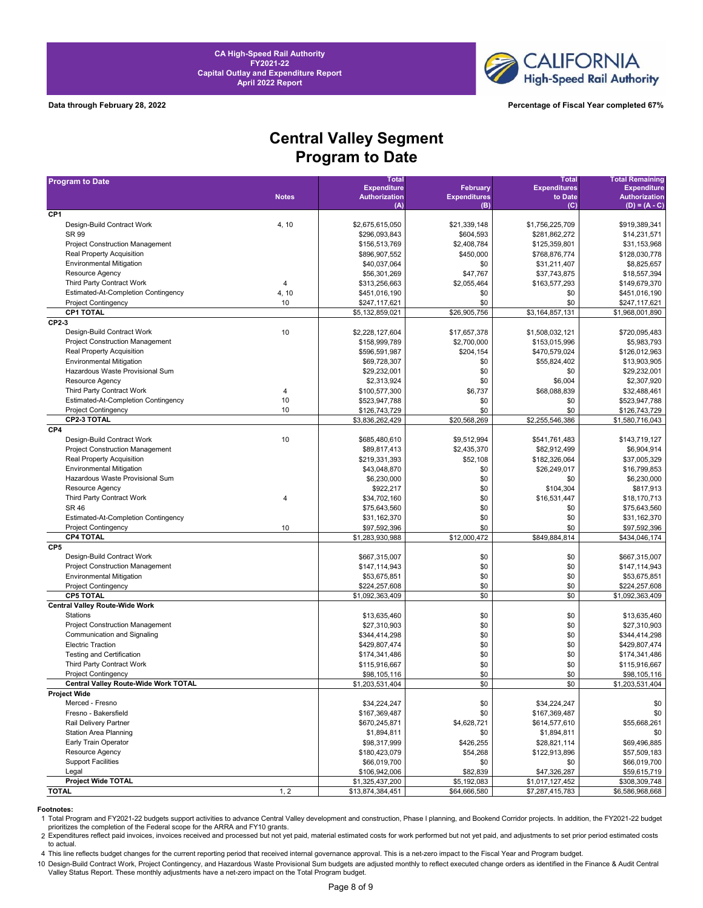



**Data through February 28, 2022 Percentage of Fiscal Year completed 67%**

# **Central Valley Segment Program to Date**

| <b>Program to Date</b>                                                     |              | <b>Total</b>                     |                             | Total                            | <b>Total Remaining</b>           |
|----------------------------------------------------------------------------|--------------|----------------------------------|-----------------------------|----------------------------------|----------------------------------|
|                                                                            |              | <b>Expenditure</b>               | February                    | <b>Expenditures</b>              | <b>Expenditure</b>               |
|                                                                            | <b>Notes</b> | <b>Authorization</b>             | <b>Expenditures</b>         | to Date                          | <b>Authorization</b>             |
| CP <sub>1</sub>                                                            |              | (A)                              | (B)                         | (C)                              | $(D) = (A - C)$                  |
| Design-Build Contract Work                                                 | 4, 10        | \$2,675,615,050                  | \$21,339,148                | \$1,756,225,709                  | \$919,389,341                    |
| <b>SR 99</b>                                                               |              | \$296,093,843                    | \$604,593                   | \$281,862,272                    | \$14,231,571                     |
| <b>Project Construction Management</b>                                     |              |                                  | \$2,408,784                 | \$125,359,801                    | \$31,153,968                     |
| Real Property Acquisition                                                  |              | \$156,513,769                    | \$450,000                   |                                  | \$128,030,778                    |
|                                                                            |              | \$896,907,552                    |                             | \$768,876,774                    |                                  |
| <b>Environmental Mitigation</b>                                            |              | \$40,037,064                     | \$0                         | \$31,211,407                     | \$8,825,657                      |
| Resource Agency<br>Third Party Contract Work                               | 4            | \$56,301,269                     | \$47,767                    | \$37,743,875                     | \$18,557,394                     |
| <b>Estimated-At-Completion Contingency</b>                                 | 4, 10        | \$313,256,663                    | \$2,055,464                 | \$163,577,293                    | \$149,679,370                    |
| <b>Project Contingency</b>                                                 | 10           | \$451,016,190                    | \$0                         | \$0                              | \$451,016,190                    |
| <b>CP1 TOTAL</b>                                                           |              | \$247,117,621<br>\$5,132,859,021 | \$0<br>\$26,905,756         | \$0<br>\$3,164,857,131           | \$247,117,621<br>\$1,968,001,890 |
| CP2-3                                                                      |              |                                  |                             |                                  |                                  |
| Design-Build Contract Work                                                 | 10           |                                  |                             |                                  |                                  |
| <b>Project Construction Management</b>                                     |              | \$2,228,127,604                  | \$17,657,378<br>\$2,700,000 | \$1,508,032,121<br>\$153,015,996 | \$720,095,483<br>\$5.983.793     |
| Real Property Acquisition                                                  |              | \$158,999,789<br>\$596,591,987   | \$204,154                   | \$470,579,024                    | \$126,012,963                    |
|                                                                            |              |                                  |                             |                                  |                                  |
| <b>Environmental Mitigation</b><br>Hazardous Waste Provisional Sum         |              | \$69,728,307                     | \$0<br>\$0                  | \$55,824,402                     | \$13,903,905                     |
|                                                                            |              | \$29,232,001                     |                             | \$0                              | \$29,232,001                     |
| Resource Agency                                                            |              | \$2,313,924                      | \$0                         | \$6,004                          | \$2,307,920                      |
| Third Party Contract Work                                                  | 4<br>10      | \$100,577,300                    | \$6,737                     | \$68,088,839                     | \$32,488,461                     |
| <b>Estimated-At-Completion Contingency</b>                                 |              | \$523,947,788                    | \$0                         | \$0                              | \$523,947,788                    |
| <b>Project Contingency</b>                                                 | 10           | \$126,743,729                    | \$0                         | \$0                              | \$126,743,729                    |
| <b>CP2-3 TOTAL</b>                                                         |              | \$3,836,262,429                  | \$20,568,269                | \$2,255,546,386                  | \$1,580,716,043                  |
| CP4<br>Design-Build Contract Work                                          | 10           |                                  |                             |                                  |                                  |
|                                                                            |              | \$685,480,610<br>\$89.817.413    | \$9,512,994                 | \$541,761,483                    | \$143,719,127                    |
| <b>Project Construction Management</b><br><b>Real Property Acquisition</b> |              |                                  | \$2,435,370                 | \$82,912,499<br>\$182.326.064    | \$6,904,914<br>\$37,005,329      |
|                                                                            |              | \$219,331,393                    | \$52,108                    |                                  |                                  |
| <b>Environmental Mitigation</b>                                            |              | \$43,048,870                     | \$0                         | \$26,249,017                     | \$16,799,853                     |
| Hazardous Waste Provisional Sum                                            |              | \$6,230,000                      | \$0                         | \$0                              | \$6,230,000                      |
| Resource Agency                                                            |              | \$922,217                        | \$0                         | \$104.304                        | \$817,913                        |
| Third Party Contract Work<br><b>SR 46</b>                                  | 4            | \$34,702,160                     | \$0                         | \$16,531,447                     | \$18,170,713                     |
|                                                                            |              | \$75,643,560                     | \$0                         | \$0                              | \$75,643,560                     |
| <b>Estimated-At-Completion Contingency</b>                                 |              | \$31,162,370                     | \$0<br>\$0                  | \$0<br>\$0                       | \$31,162,370                     |
| <b>Project Contingency</b><br><b>CP4 TOTAL</b>                             | 10           | \$97,592,396                     | \$12,000,472                | \$849,884,814                    | \$97,592,396                     |
| CP <sub>5</sub>                                                            |              | \$1,283,930,988                  |                             |                                  | \$434,046,174                    |
| Design-Build Contract Work                                                 |              | \$667,315,007                    |                             |                                  |                                  |
| <b>Project Construction Management</b>                                     |              | \$147,114,943                    | \$0<br>\$0                  | \$0<br>\$0                       | \$667,315,007                    |
| <b>Environmental Mitigation</b>                                            |              |                                  | \$0                         | \$0                              | \$147,114,943                    |
| <b>Project Contingency</b>                                                 |              | \$53,675,851<br>\$224,257,608    | \$0                         | \$0                              | \$53,675,851                     |
| <b>CP5 TOTAL</b>                                                           |              |                                  | \$0                         | \$0                              | \$224,257,608                    |
| <b>Central Valley Route-Wide Work</b>                                      |              | \$1,092,363,409                  |                             |                                  | \$1,092,363,409                  |
| Stations                                                                   |              | \$13,635,460                     | \$0                         | \$0                              | \$13,635,460                     |
| <b>Project Construction Management</b>                                     |              | \$27.310.903                     | \$0                         | \$0                              | \$27,310,903                     |
| Communication and Signaling                                                |              | \$344,414,298                    | \$0                         | \$0                              | \$344,414,298                    |
| <b>Electric Traction</b>                                                   |              | \$429,807,474                    | \$0                         | \$0                              | \$429,807,474                    |
| <b>Testing and Certification</b>                                           |              | \$174,341,486                    | \$0                         | \$0                              | \$174,341,486                    |
| Third Party Contract Work                                                  |              |                                  |                             |                                  | \$115,916,667                    |
| <b>Project Contingency</b>                                                 |              | \$115,916,667<br>\$98,105,116    | \$0<br>\$0                  | \$0<br>\$0                       | \$98,105,116                     |
| Central Valley Route-Wide Work TOTAL                                       |              | \$1,203,531,404                  | \$0                         | \$0                              | \$1,203,531,404                  |
| <b>Project Wide</b>                                                        |              |                                  |                             |                                  |                                  |
| Merced - Fresno                                                            |              | \$34,224,247                     | \$0                         | \$34,224,247                     | \$0                              |
| Fresno - Bakersfield                                                       |              | \$167,369,487                    | \$0                         | \$167,369,487                    | \$0                              |
| Rail Delivery Partner                                                      |              | \$670,245,871                    | \$4,628,721                 | \$614,577,610                    | \$55,668,261                     |
| <b>Station Area Planning</b>                                               |              | \$1,894,811                      | \$0                         | \$1,894,811                      | \$0                              |
| Early Train Operator                                                       |              | \$98,317,999                     | \$426,255                   | \$28,821,114                     | \$69,496,885                     |
| Resource Agency                                                            |              | \$180,423,079                    | \$54,268                    | \$122,913,896                    | \$57,509,183                     |
| <b>Support Facilities</b>                                                  |              | \$66,019,700                     | \$0                         | \$0                              | \$66,019,700                     |
| Legal                                                                      |              | \$106,942,006                    | \$82,839                    | \$47,326,287                     | \$59,615,719                     |
| Project Wide TOTAL                                                         |              | \$1,325,437,200                  | \$5,192,083                 | \$1,017,127,452                  | \$308,309,748                    |
| <b>TOTAL</b>                                                               | 1, 2         | \$13,874,384,451                 | \$64,666,580                | \$7,287,415,783                  | \$6,586,968,668                  |
|                                                                            |              |                                  |                             |                                  |                                  |

**Footnotes:**<br>1 Total Program and FY2021-22 budgets support activities to advance Central Valley development and construction, Phase I planning, and Bookend Corridor projects. In addition, the FY2021-22 budget prioritizes the completion of the Federal scope for the ARRA and FY10 grants.

2 Expenditures reflect paid invoices, invoices received and processed but not yet paid, material estimated costs for work performed but not yet paid, and adjustments to set prior period estimated costs to actual.

4 This line reflects budget changes for the current reporting period that received internal governance approval. This is a net-zero impact to the Fiscal Year and Program budget.

10 Design-Build Contract Work, Project Contingency, and Hazardous Waste Provisional Sum budgets are adjusted monthly to reflect executed change orders as identified in the Finance & Audit Central<br>Valley Status Report. Thes